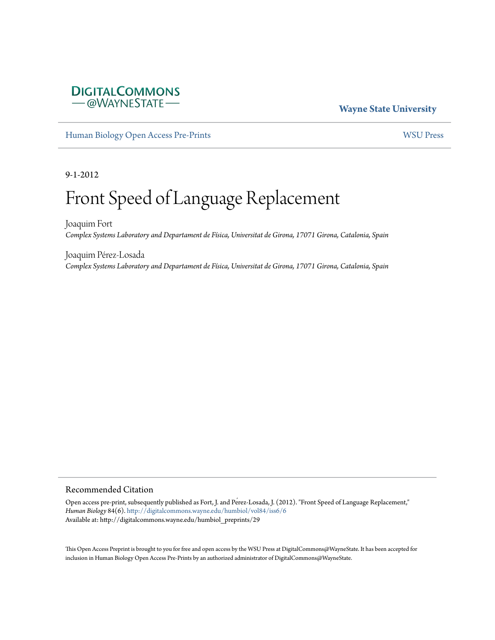# **DIGITALCOMMONS** - @WAYNESTATE-

## **Wayne State University**

[Human Biology Open Access Pre-Prints](http://digitalcommons.wayne.edu/humbiol_preprints) [WSU Press](http://digitalcommons.wayne.edu/wsupress)

9-1-2012

# Front Speed of Language Replacement

Joaquim Fort *Complex Systems Laboratory and Departament de Física, Universitat de Girona, 17071 Girona, Catalonia, Spain*

Joaquim Pérez-Losada *Complex Systems Laboratory and Departament de Física, Universitat de Girona, 17071 Girona, Catalonia, Spain*

#### Recommended Citation

Open access pre-print, subsequently published as Fort, J. and Perez-Losada, J. (2012). "Front Speed of Language Replacement," *Human Biology* 84(6). <http://digitalcommons.wayne.edu/humbiol/vol84/iss6/6> Available at: http://digitalcommons.wayne.edu/humbiol\_preprints/29

This Open Access Preprint is brought to you for free and open access by the WSU Press at DigitalCommons@WayneState. It has been accepted for inclusion in Human Biology Open Access Pre-Prints by an authorized administrator of DigitalCommons@WayneState.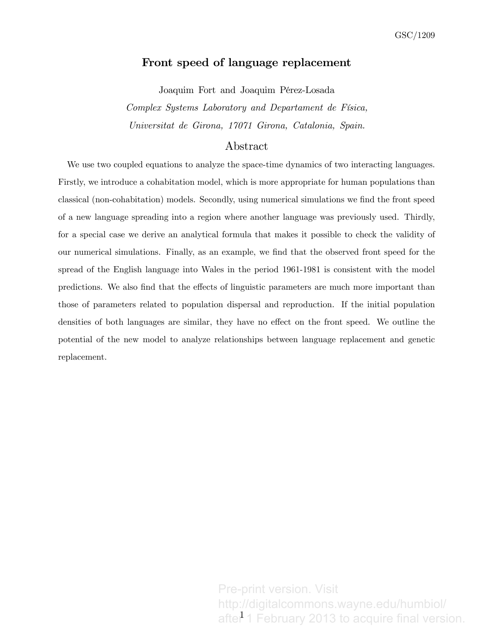## Front speed of language replacement

Joaquim Fort and Joaquim Pérez-Losada

Complex Systems Laboratory and Departament de Física, Universitat de Girona, 17071 Girona, Catalonia, Spain.

## Abstract

We use two coupled equations to analyze the space-time dynamics of two interacting languages. Firstly, we introduce a cohabitation model, which is more appropriate for human populations than classical (non-cohabitation) models. Secondly, using numerical simulations we find the front speed of a new language spreading into a region where another language was previously used. Thirdly, for a special case we derive an analytical formula that makes it possible to check the validity of our numerical simulations. Finally, as an example, we Önd that the observed front speed for the spread of the English language into Wales in the period 1961-1981 is consistent with the model predictions. We also find that the effects of linguistic parameters are much more important than those of parameters related to population dispersal and reproduction. If the initial population densities of both languages are similar, they have no effect on the front speed. We outline the potential of the new model to analyze relationships between language replacement and genetic replacement.

> afte<sup>1</sup> 1 February 2013 to acquire final version. Pre-print version. Visit http://digitalcommons.wayne.edu/humbiol/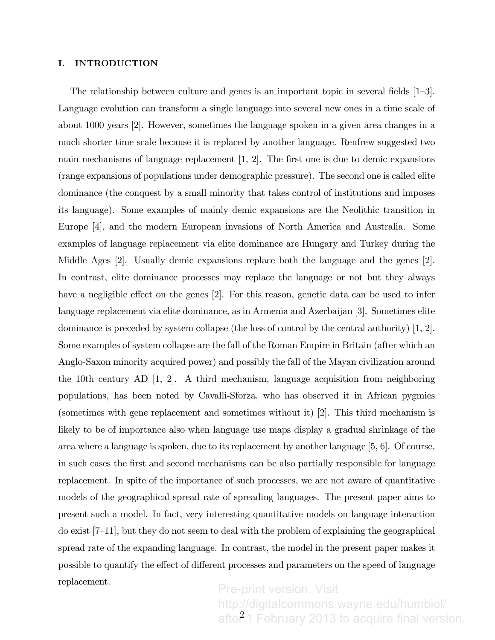#### I. INTRODUCTION

The relationship between culture and genes is an important topic in several fields  $[1-3]$ . Language evolution can transform a single language into several new ones in a time scale of about 1000 years [2]. However, sometimes the language spoken in a given area changes in a much shorter time scale because it is replaced by another language. Renfrew suggested two main mechanisms of language replacement  $[1, 2]$ . The first one is due to demic expansions (range expansions of populations under demographic pressure). The second one is called elite dominance (the conquest by a small minority that takes control of institutions and imposes its language). Some examples of mainly demic expansions are the Neolithic transition in Europe [4], and the modern European invasions of North America and Australia. Some examples of language replacement via elite dominance are Hungary and Turkey during the Middle Ages [2]. Usually demic expansions replace both the language and the genes [2]. In contrast, elite dominance processes may replace the language or not but they always have a negligible effect on the genes  $[2]$ . For this reason, genetic data can be used to infer language replacement via elite dominance, as in Armenia and Azerbaijan [3]. Sometimes elite dominance is preceded by system collapse (the loss of control by the central authority) [1, 2]. Some examples of system collapse are the fall of the Roman Empire in Britain (after which an Anglo-Saxon minority acquired power) and possibly the fall of the Mayan civilization around the 10th century AD [1, 2]. A third mechanism, language acquisition from neighboring populations, has been noted by Cavalli-Sforza, who has observed it in African pygmies (sometimes with gene replacement and sometimes without it) [2]. This third mechanism is likely to be of importance also when language use maps display a gradual shrinkage of the area where a language is spoken, due to its replacement by another language [5, 6]. Of course, in such cases the Örst and second mechanisms can be also partially responsible for language replacement. In spite of the importance of such processes, we are not aware of quantitative models of the geographical spread rate of spreading languages. The present paper aims to present such a model. In fact, very interesting quantitative models on language interaction  $\alpha$  do exist  $[7-11]$ , but they do not seem to deal with the problem of explaining the geographical spread rate of the expanding language. In contrast, the model in the present paper makes it possible to quantify the effect of different processes and parameters on the speed of language replacement.

2 Pre-print version. Visit http://digitalcommons.wayne.edu/humbiol/ after 1 February 2013 to acquire final version.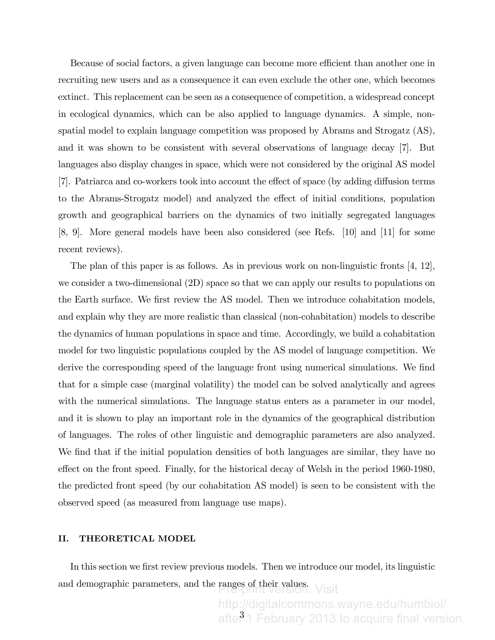Because of social factors, a given language can become more efficient than another one in recruiting new users and as a consequence it can even exclude the other one, which becomes extinct. This replacement can be seen as a consequence of competition, a widespread concept in ecological dynamics, which can be also applied to language dynamics. A simple, nonspatial model to explain language competition was proposed by Abrams and Strogatz (AS), and it was shown to be consistent with several observations of language decay [7]. But languages also display changes in space, which were not considered by the original AS model [7]. Patriarca and co-workers took into account the effect of space (by adding diffusion terms to the Abrams-Strogatz model) and analyzed the effect of initial conditions, population growth and geographical barriers on the dynamics of two initially segregated languages [8, 9]. More general models have been also considered (see Refs. [10] and [11] for some recent reviews).

The plan of this paper is as follows. As in previous work on non-linguistic fronts  $\vert 4, 12 \vert$ , we consider a two-dimensional (2D) space so that we can apply our results to populations on the Earth surface. We first review the AS model. Then we introduce cohabitation models, and explain why they are more realistic than classical (non-cohabitation) models to describe the dynamics of human populations in space and time. Accordingly, we build a cohabitation model for two linguistic populations coupled by the AS model of language competition. We derive the corresponding speed of the language front using numerical simulations. We find that for a simple case (marginal volatility) the model can be solved analytically and agrees with the numerical simulations. The language status enters as a parameter in our model, and it is shown to play an important role in the dynamics of the geographical distribution of languages. The roles of other linguistic and demographic parameters are also analyzed. We find that if the initial population densities of both languages are similar, they have no effect on the front speed. Finally, for the historical decay of Welsh in the period 1960-1980, the predicted front speed (by our cohabitation AS model) is seen to be consistent with the observed speed (as measured from language use maps).

### II. THEORETICAL MODEL

In this section we first review previous models. Then we introduce our model, its linguistic and demographic parameters, and the ranges of their values. Visit

3 http://digitalcommons.wayne.edu/humbiol/ after 1 February 2013 to acquire final version.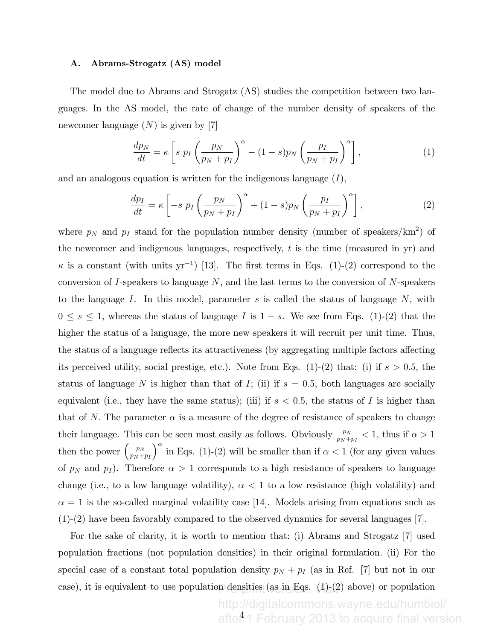#### A. Abrams-Strogatz (AS) model

The model due to Abrams and Strogatz (AS) studies the competition between two languages. In the AS model, the rate of change of the number density of speakers of the newcomer language  $(N)$  is given by [7]

$$
\frac{dp_N}{dt} = \kappa \left[ s \ p_I \left( \frac{p_N}{p_N + p_I} \right)^{\alpha} - (1 - s) p_N \left( \frac{p_I}{p_N + p_I} \right)^{\alpha} \right],\tag{1}
$$

and an analogous equation is written for the indigenous language  $(I)$ ,

$$
\frac{dp_I}{dt} = \kappa \left[ -s \ p_I \left( \frac{p_N}{p_N + p_I} \right)^{\alpha} + (1 - s) p_N \left( \frac{p_I}{p_N + p_I} \right)^{\alpha} \right],\tag{2}
$$

where  $p_N$  and  $p_I$  stand for the population number density (number of speakers/km<sup>2</sup>) of the newcomer and indigenous languages, respectively,  $t$  is the time (measured in yr) and  $\kappa$  is a constant (with units yr<sup>-1</sup>) [13]. The first terms in Eqs. (1)-(2) correspond to the conversion of I-speakers to language  $N$ , and the last terms to the conversion of  $N$ -speakers to the language  $I$ . In this model, parameter  $s$  is called the status of language  $N$ , with  $0 \leq s \leq 1$ , whereas the status of language I is  $1 - s$ . We see from Eqs. (1)-(2) that the higher the status of a language, the more new speakers it will recruit per unit time. Thus, the status of a language reflects its attractiveness (by aggregating multiple factors affecting its perceived utility, social prestige, etc.). Note from Eqs. (1)-(2) that: (i) if  $s > 0.5$ , the status of language N is higher than that of I; (ii) if  $s = 0.5$ , both languages are socially equivalent (i.e., they have the same status); (iii) if  $s < 0.5$ , the status of I is higher than that of N. The parameter  $\alpha$  is a measure of the degree of resistance of speakers to change their language. This can be seen most easily as follows. Obviously  $\frac{p_N}{p_N+p_I} < 1$ , thus if  $\alpha > 1$ then the power  $\left(\frac{p_N}{p_N + q}\right)$  $p_N + p_I$  $\int_0^{\alpha}$  in Eqs. (1)-(2) will be smaller than if  $\alpha < 1$  (for any given values of  $p_N$  and  $p_I$ ). Therefore  $\alpha > 1$  corresponds to a high resistance of speakers to language change (i.e., to a low language volatility),  $\alpha < 1$  to a low resistance (high volatility) and  $\alpha = 1$  is the so-called marginal volatility case [14]. Models arising from equations such as (1)-(2) have been favorably compared to the observed dynamics for several languages [7].

For the sake of clarity, it is worth to mention that: (i) Abrams and Strogatz [7] used population fractions (not population densities) in their original formulation. (ii) For the special case of a constant total population density  $p_N + p_I$  (as in Ref. [7] but not in our case), it is equivalent to use population densities (as in Eqs.  $(1)$ - $(2)$  above) or population.

> afte<sup>4</sup> 1 February 2013 to acquire final version. http://digitalcommons.wayne.edu/humbiol/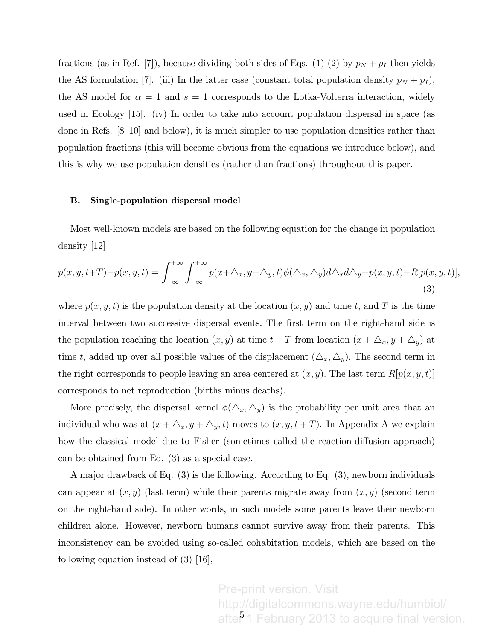fractions (as in Ref. [7]), because dividing both sides of Eqs. (1)-(2) by  $p_N + p_I$  then yields the AS formulation [7]. (iii) In the latter case (constant total population density  $p_N + p_I$ ), the AS model for  $\alpha = 1$  and  $s = 1$  corresponds to the Lotka-Volterra interaction, widely used in Ecology [15]. (iv) In order to take into account population dispersal in space (as done in Refs.  $[8-10]$  and below), it is much simpler to use population densities rather than population fractions (this will become obvious from the equations we introduce below), and this is why we use population densities (rather than fractions) throughout this paper.

#### B. Single-population dispersal model

Most well-known models are based on the following equation for the change in population density [12]

$$
p(x, y, t+T) - p(x, y, t) = \int_{-\infty}^{+\infty} \int_{-\infty}^{+\infty} p(x + \Delta_x, y + \Delta_y, t) \phi(\Delta_x, \Delta_y) d\Delta_x d\Delta_y - p(x, y, t) + R[p(x, y, t)],
$$
\n(3)

where  $p(x, y, t)$  is the population density at the location  $(x, y)$  and time t, and T is the time interval between two successive dispersal events. The first term on the right-hand side is the population reaching the location  $(x, y)$  at time  $t + T$  from location  $(x + \Delta_x, y + \Delta_y)$  at time t, added up over all possible values of the displacement  $(\Delta_x, \Delta_y)$ . The second term in the right corresponds to people leaving an area centered at  $(x, y)$ . The last term  $R[p(x, y, t)]$ corresponds to net reproduction (births minus deaths).

More precisely, the dispersal kernel  $\phi(\Delta_x, \Delta_y)$  is the probability per unit area that an individual who was at  $(x + \Delta_x, y + \Delta_y, t)$  moves to  $(x, y, t + T)$ . In Appendix A we explain how the classical model due to Fisher (sometimes called the reaction-diffusion approach) can be obtained from Eq. (3) as a special case.

A major drawback of Eq. (3) is the following. According to Eq. (3), newborn individuals can appear at  $(x, y)$  (last term) while their parents migrate away from  $(x, y)$  (second term on the right-hand side). In other words, in such models some parents leave their newborn children alone. However, newborn humans cannot survive away from their parents. This inconsistency can be avoided using so-called cohabitation models, which are based on the following equation instead of (3) [16],

> afte<sup>5</sup> 1 February 2013 to acquire final version. Pre-print version. Visit http://digitalcommons.wayne.edu/humbiol/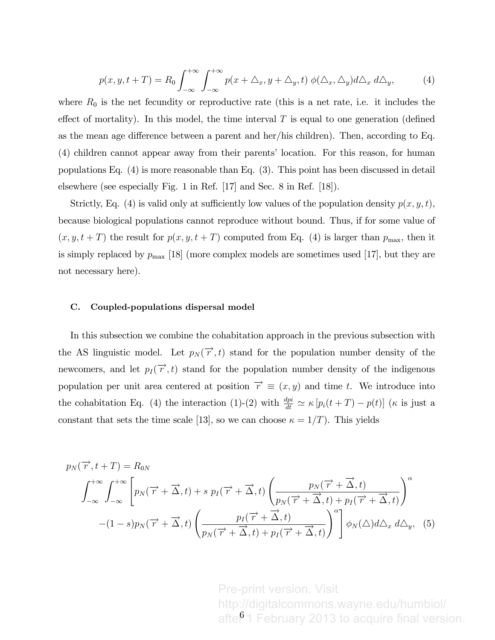$$
p(x, y, t + T) = R_0 \int_{-\infty}^{+\infty} \int_{-\infty}^{+\infty} p(x + \Delta_x, y + \Delta_y, t) \phi(\Delta_x, \Delta_y) d\Delta_x d\Delta_y, \tag{4}
$$

where  $R_0$  is the net fecundity or reproductive rate (this is a net rate, i.e. it includes the effect of mortality). In this model, the time interval  $T$  is equal to one generation (defined as the mean age difference between a parent and her/his children). Then, according to Eq. (4) children cannot appear away from their parentsílocation. For this reason, for human populations Eq. (4) is more reasonable than Eq. (3). This point has been discussed in detail elsewhere (see especially Fig. 1 in Ref. [17] and Sec. 8 in Ref. [18]).

Strictly, Eq. (4) is valid only at sufficiently low values of the population density  $p(x, y, t)$ , because biological populations cannot reproduce without bound. Thus, if for some value of  $(x, y, t + T)$  the result for  $p(x, y, t + T)$  computed from Eq. (4) is larger than  $p_{\text{max}}$ , then it is simply replaced by  $p_{\text{max}}$  [18] (more complex models are sometimes used [17], but they are not necessary here).

#### C. Coupled-populations dispersal model

In this subsection we combine the cohabitation approach in the previous subsection with the AS linguistic model. Let  $p_N(\vec{r},t)$  stand for the population number density of the newcomers, and let  $p_I(\vec{r},t)$  stand for the population number density of the indigenous population per unit area centered at position  $\vec{r} \equiv (x, y)$  and time t. We introduce into the cohabitation Eq. (4) the interaction (1)-(2) with  $\frac{dp_i}{dt} \simeq \kappa [p_i(t+T) - p(t)]$  ( $\kappa$  is just a constant that sets the time scale [13], so we can choose  $\kappa = 1/T$ ). This yields

$$
p_N(\overrightarrow{r}, t + T) = R_{0N}
$$
  

$$
\int_{-\infty}^{+\infty} \int_{-\infty}^{+\infty} \left[ p_N(\overrightarrow{r} + \overrightarrow{\Delta}, t) + s \ p_I(\overrightarrow{r} + \overrightarrow{\Delta}, t) \left( \frac{p_N(\overrightarrow{r} + \overrightarrow{\Delta}, t)}{p_N(\overrightarrow{r} + \overrightarrow{\Delta}, t) + p_I(\overrightarrow{r} + \overrightarrow{\Delta}, t)} \right)^{\alpha} - (1 - s) p_N(\overrightarrow{r} + \overrightarrow{\Delta}, t) \left( \frac{p_I(\overrightarrow{r} + \overrightarrow{\Delta}, t)}{p_N(\overrightarrow{r} + \overrightarrow{\Delta}, t) + p_I(\overrightarrow{r} + \overrightarrow{\Delta}, t)} \right)^{\alpha} \right] \phi_N(\Delta) d\Delta_x d\Delta_y, (5)
$$

afte<sup>6</sup> 1 February 2013 to acquire final version. Pre-print version. Visit http://digitalcommons.wayne.edu/humbiol/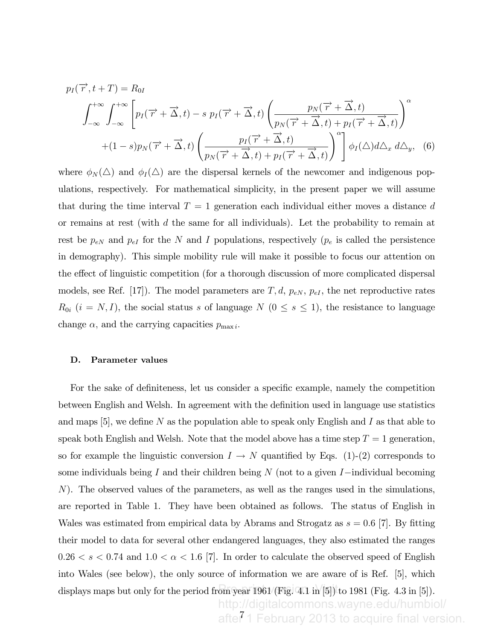$$
p_I(\vec{r}, t + T) = R_{0I}
$$
  

$$
\int_{-\infty}^{+\infty} \int_{-\infty}^{+\infty} \left[ p_I(\vec{r} + \vec{\Delta}, t) - s \ p_I(\vec{r} + \vec{\Delta}, t) \left( \frac{p_N(\vec{r} + \vec{\Delta}, t)}{p_N(\vec{r} + \vec{\Delta}, t) + p_I(\vec{r} + \vec{\Delta}, t)} \right)^{\alpha} + (1 - s) p_N(\vec{r} + \vec{\Delta}, t) \left( \frac{p_I(\vec{r} + \vec{\Delta}, t)}{p_N(\vec{r} + \vec{\Delta}, t) + p_I(\vec{r} + \vec{\Delta}, t)} \right)^{\alpha} \right] \phi_I(\Delta) d\Delta_x d\Delta_y, \quad (6)
$$

where  $\phi_N(\Delta)$  and  $\phi_I(\Delta)$  are the dispersal kernels of the newcomer and indigenous populations, respectively. For mathematical simplicity, in the present paper we will assume that during the time interval  $T = 1$  generation each individual either moves a distance d or remains at rest (with  $d$  the same for all individuals). Let the probability to remain at rest be  $p_{eN}$  and  $p_{eI}$  for the N and I populations, respectively  $(p_e$  is called the persistence in demography). This simple mobility rule will make it possible to focus our attention on the effect of linguistic competition (for a thorough discussion of more complicated dispersal models, see Ref. [17]). The model parameters are  $T, d, p_{eN}, p_{eI}$ , the net reproductive rates  $R_{0i}$  (i = N, I), the social status s of language N (0  $\leq$  s  $\leq$  1), the resistance to language change  $\alpha$ , and the carrying capacities  $p_{\text{max }i}$ .

#### D. Parameter values

For the sake of definiteness, let us consider a specific example, namely the competition between English and Welsh. In agreement with the definition used in language use statistics and maps  $[5]$ , we define N as the population able to speak only English and I as that able to speak both English and Welsh. Note that the model above has a time step  $T = 1$  generation, so for example the linguistic conversion  $I \to N$  quantified by Eqs. (1)-(2) corresponds to some individuals being I and their children being  $N$  (not to a given I-individual becoming N). The observed values of the parameters, as well as the ranges used in the simulations, are reported in Table 1. They have been obtained as follows. The status of English in Wales was estimated from empirical data by Abrams and Strogatz as  $s = 0.6$  [7]. By fitting their model to data for several other endangered languages, they also estimated the ranges  $0.26 < s < 0.74$  and  $1.0 < \alpha < 1.6$  [7]. In order to calculate the observed speed of English into Wales (see below), the only source of information we are aware of is Ref. [5], which displays maps but only for the period from year 1961 (Fig. 4.1 in [5]) to 1981 (Fig. 4.3 in [5]).

afte<sup>7</sup> 1 February 2013 to acquire final version. http://digitalcommons.wayne.edu/humbiol/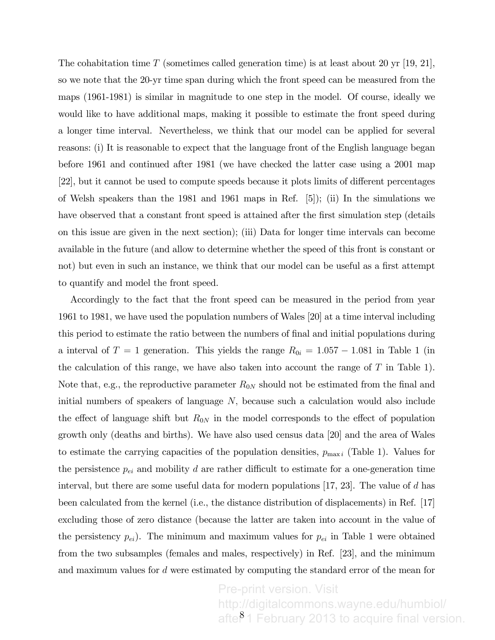The cohabitation time T (sometimes called generation time) is at least about 20 yr [19, 21], so we note that the 20-yr time span during which the front speed can be measured from the maps (1961-1981) is similar in magnitude to one step in the model. Of course, ideally we would like to have additional maps, making it possible to estimate the front speed during a longer time interval. Nevertheless, we think that our model can be applied for several reasons: (i) It is reasonable to expect that the language front of the English language began before 1961 and continued after 1981 (we have checked the latter case using a 2001 map [22], but it cannot be used to compute speeds because it plots limits of different percentages of Welsh speakers than the 1981 and 1961 maps in Ref. [5]); (ii) In the simulations we have observed that a constant front speed is attained after the first simulation step (details on this issue are given in the next section); (iii) Data for longer time intervals can become available in the future (and allow to determine whether the speed of this front is constant or not) but even in such an instance, we think that our model can be useful as a first attempt to quantify and model the front speed.

Accordingly to the fact that the front speed can be measured in the period from year 1961 to 1981, we have used the population numbers of Wales [20] at a time interval including this period to estimate the ratio between the numbers of final and initial populations during a interval of  $T = 1$  generation. This yields the range  $R_{0i} = 1.057 - 1.081$  in Table 1 (in the calculation of this range, we have also taken into account the range of  $T$  in Table 1). Note that, e.g., the reproductive parameter  $R_{0N}$  should not be estimated from the final and initial numbers of speakers of language  $N$ , because such a calculation would also include the effect of language shift but  $R_{0N}$  in the model corresponds to the effect of population growth only (deaths and births). We have also used census data [20] and the area of Wales to estimate the carrying capacities of the population densities,  $p_{\text{max }i}$  (Table 1). Values for the persistence  $p_{ei}$  and mobility d are rather difficult to estimate for a one-generation time interval, but there are some useful data for modern populations  $|17, 23|$ . The value of d has been calculated from the kernel (i.e., the distance distribution of displacements) in Ref. [17] excluding those of zero distance (because the latter are taken into account in the value of the persistency  $p_{ei}$ ). The minimum and maximum values for  $p_{ei}$  in Table 1 were obtained from the two subsamples (females and males, respectively) in Ref. [23], and the minimum and maximum values for d were estimated by computing the standard error of the mean for

> afte<sup>8</sup> 1 February 2013 to acquire final version. Pre-print version. Visit http://digitalcommons.wayne.edu/humbiol/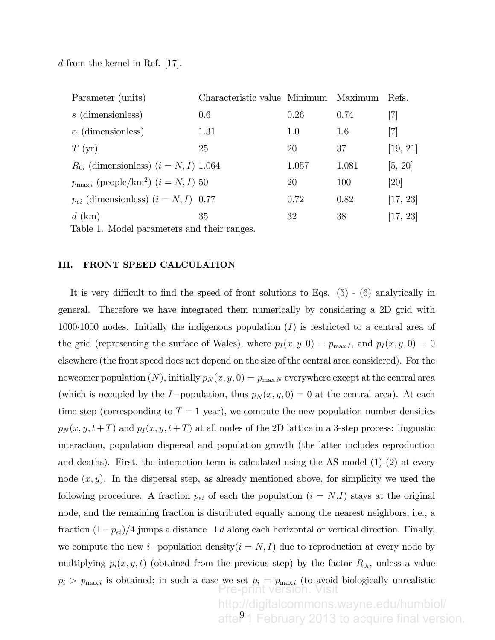d from the kernel in Ref. [17].

| Parameter (units)                                            | Characteristic value Minimum |       | Maximum | Refs.    |
|--------------------------------------------------------------|------------------------------|-------|---------|----------|
| s (dimensionless)                                            | 0.6                          | 0.26  | 0.74    | [7]      |
| $\alpha$ (dimensionless)                                     | 1.31                         | 1.0   | 1.6     | [7]      |
| $T(\text{yr})$                                               | 25                           | 20    | 37      | [19, 21] |
| $R_{0i}$ (dimensionless) $(i = N, I)$ 1.064                  |                              | 1.057 | 1.081   | [5, 20]  |
| $p_{\text{max }i}$ (people/km <sup>2</sup> ) $(i = N, I)$ 50 |                              | 20    | 100     | [20]     |
| $p_{ei}$ (dimensionless) $(i = N, I)$ 0.77                   |                              | 0.72  | 0.82    | [17, 23] |
| $d$ (km)                                                     | 35                           | 32    | 38      | [17, 23] |
| Table 1 Model perspective and their reages                   |                              |       |         |          |

Table 1. Model parameters and their ranges.

#### III. FRONT SPEED CALCULATION

It is very difficult to find the speed of front solutions to Eqs.  $(5)$  -  $(6)$  analytically in general. Therefore we have integrated them numerically by considering a 2D grid with  $1000 \cdot 1000$  nodes. Initially the indigenous population  $(I)$  is restricted to a central area of the grid (representing the surface of Wales), where  $p_I(x, y, 0) = p_{\text{max }I}$ , and  $p_I(x, y, 0) = 0$ elsewhere (the front speed does not depend on the size of the central area considered). For the newcomer population  $(N)$ , initially  $p_N(x, y, 0) = p_{\max N}$  everywhere except at the central area (which is occupied by the I-population, thus  $p_N (x, y, 0) = 0$  at the central area). At each time step (corresponding to  $T = 1$  year), we compute the new population number densities  $p_N (x, y, t+T)$  and  $p_I (x, y, t+T)$  at all nodes of the 2D lattice in a 3-step process: linguistic interaction, population dispersal and population growth (the latter includes reproduction and deaths). First, the interaction term is calculated using the AS model  $(1)-(2)$  at every node  $(x, y)$ . In the dispersal step, as already mentioned above, for simplicity we used the following procedure. A fraction  $p_{ei}$  of each the population  $(i = N, I)$  stays at the original node, and the remaining fraction is distributed equally among the nearest neighbors, i.e., a fraction  $(1-p_{ei})/4$  jumps a distance  $\pm d$  along each horizontal or vertical direction. Finally, we compute the new *i*-population density( $i = N, I$ ) due to reproduction at every node by multiplying  $p_i(x, y, t)$  (obtained from the previous step) by the factor  $R_{0i}$ , unless a value  $p_i > p_{\text{max }i}$  is obtained; in such a case we set  $p_i = p_{\text{max }i}$  (to avoid biologically unrealistic Pre-print version. Visit

afte<sup>9</sup> 1 February 2013 to acquire final version. http://digitalcommons.wayne.edu/humbiol/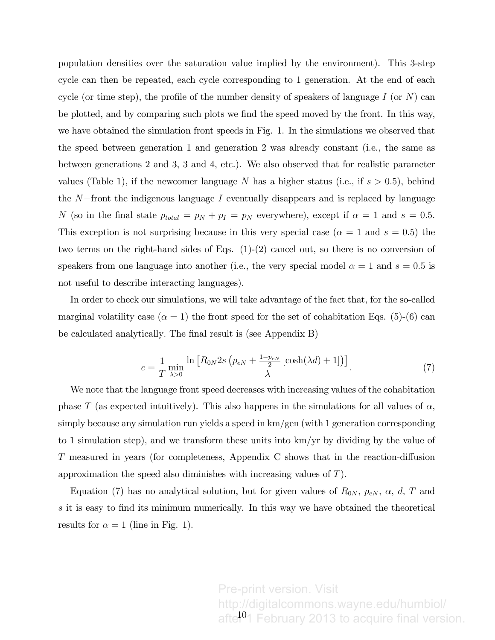population densities over the saturation value implied by the environment). This 3-step cycle can then be repeated, each cycle corresponding to 1 generation. At the end of each cycle (or time step), the profile of the number density of speakers of language I (or N) can be plotted, and by comparing such plots we find the speed moved by the front. In this way, we have obtained the simulation front speeds in Fig. 1. In the simulations we observed that the speed between generation 1 and generation 2 was already constant (i.e., the same as between generations 2 and 3, 3 and 4, etc.). We also observed that for realistic parameter values (Table 1), if the newcomer language N has a higher status (i.e., if  $s > 0.5$ ), behind the  $N$ -front the indigenous language I eventually disappears and is replaced by language N (so in the final state  $p_{total} = p_N + p_I = p_N$  everywhere), except if  $\alpha = 1$  and  $s = 0.5$ . This exception is not surprising because in this very special case ( $\alpha = 1$  and  $s = 0.5$ ) the two terms on the right-hand sides of Eqs. (1)-(2) cancel out, so there is no conversion of speakers from one language into another (i.e., the very special model  $\alpha = 1$  and  $s = 0.5$  is not useful to describe interacting languages).

In order to check our simulations, we will take advantage of the fact that, for the so-called marginal volatility case  $(\alpha = 1)$  the front speed for the set of cohabitation Eqs. (5)-(6) can be calculated analytically. The final result is (see Appendix B)

$$
c = \frac{1}{T} \min_{\lambda > 0} \frac{\ln \left[ R_{0N} 2s \left( p_{eN} + \frac{1 - p_{eN}}{2} \left[ \cosh(\lambda d) + 1 \right] \right) \right]}{\lambda}.
$$
 (7)

We note that the language front speed decreases with increasing values of the cohabitation phase T (as expected intuitively). This also happens in the simulations for all values of  $\alpha$ , simply because any simulation run yields a speed in km/gen (with 1 generation corresponding to 1 simulation step), and we transform these units into  $km/yr$  by dividing by the value of  $T$  measured in years (for completeness, Appendix C shows that in the reaction-diffusion approximation the speed also diminishes with increasing values of T).

Equation (7) has no analytical solution, but for given values of  $R_{0N}$ ,  $p_{eN}$ ,  $\alpha$ ,  $d$ ,  $T$  and s it is easy to find its minimum numerically. In this way we have obtained the theoretical results for  $\alpha = 1$  (line in Fig. 1).

> afte<sup>10</sup>1 February 2013 to acquire final version. Pre-print version. Visit http://digitalcommons.wayne.edu/humbiol/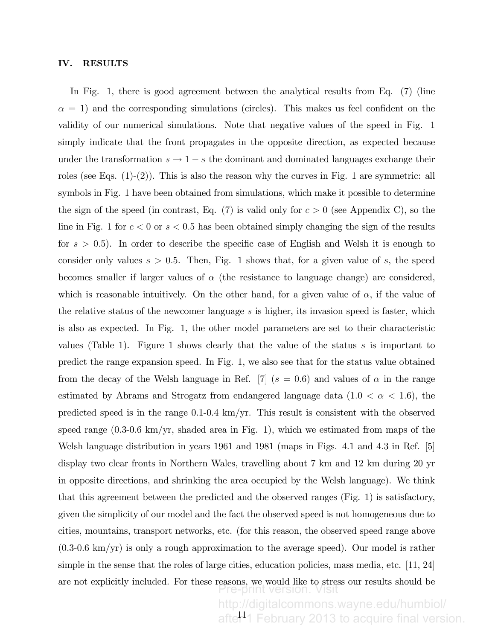#### IV. RESULTS

In Fig. 1, there is good agreement between the analytical results from Eq. (7) (line  $\alpha = 1$ ) and the corresponding simulations (circles). This makes us feel confident on the validity of our numerical simulations. Note that negative values of the speed in Fig. 1 simply indicate that the front propagates in the opposite direction, as expected because under the transformation  $s \to 1 - s$  the dominant and dominated languages exchange their roles (see Eqs.  $(1)-(2)$ ). This is also the reason why the curves in Fig. 1 are symmetric: all symbols in Fig. 1 have been obtained from simulations, which make it possible to determine the sign of the speed (in contrast, Eq.  $(7)$  is valid only for  $c > 0$  (see Appendix C), so the line in Fig. 1 for  $c < 0$  or  $s < 0.5$  has been obtained simply changing the sign of the results for  $s > 0.5$ ). In order to describe the specific case of English and Welsh it is enough to consider only values  $s > 0.5$ . Then, Fig. 1 shows that, for a given value of s, the speed becomes smaller if larger values of  $\alpha$  (the resistance to language change) are considered, which is reasonable intuitively. On the other hand, for a given value of  $\alpha$ , if the value of the relative status of the newcomer language s is higher, its invasion speed is faster, which is also as expected. In Fig. 1, the other model parameters are set to their characteristic values (Table 1). Figure 1 shows clearly that the value of the status  $s$  is important to predict the range expansion speed. In Fig. 1, we also see that for the status value obtained from the decay of the Welsh language in Ref. [7] ( $s = 0.6$ ) and values of  $\alpha$  in the range estimated by Abrams and Strogatz from endangered language data  $(1.0 < \alpha < 1.6)$ , the predicted speed is in the range 0.1-0.4 km/yr. This result is consistent with the observed speed range  $(0.3-0.6 \text{ km/yr}, \text{shaded area in Fig. 1}),$  which we estimated from maps of the Welsh language distribution in years 1961 and 1981 (maps in Figs. 4.1 and 4.3 in Ref. [5] display two clear fronts in Northern Wales, travelling about 7 km and 12 km during 20 yr in opposite directions, and shrinking the area occupied by the Welsh language). We think that this agreement between the predicted and the observed ranges (Fig. 1) is satisfactory, given the simplicity of our model and the fact the observed speed is not homogeneous due to cities, mountains, transport networks, etc. (for this reason, the observed speed range above (0.3-0.6 km/yr) is only a rough approximation to the average speed). Our model is rather simple in the sense that the roles of large cities, education policies, mass media, etc. [11, 24] are not explicitly included. For these reasons, we would like to stress our results should be Pre-print version. Visit

> afte<sup>11</sup>1 February 2013 to acquire final version. http://digitalcommons.wayne.edu/humbiol/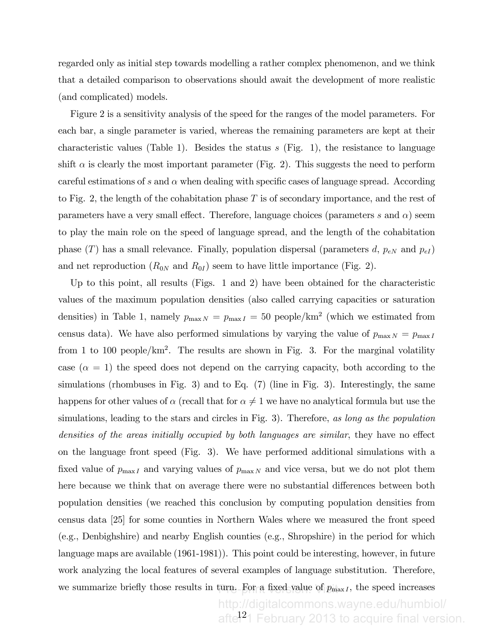regarded only as initial step towards modelling a rather complex phenomenon, and we think that a detailed comparison to observations should await the development of more realistic (and complicated) models.

Figure 2 is a sensitivity analysis of the speed for the ranges of the model parameters. For each bar, a single parameter is varied, whereas the remaining parameters are kept at their characteristic values (Table 1). Besides the status  $s$  (Fig. 1), the resistance to language shift  $\alpha$  is clearly the most important parameter (Fig. 2). This suggests the need to perform careful estimations of s and  $\alpha$  when dealing with specific cases of language spread. According to Fig. 2, the length of the cohabitation phase  $T$  is of secondary importance, and the rest of parameters have a very small effect. Therefore, language choices (parameters s and  $\alpha$ ) seem to play the main role on the speed of language spread, and the length of the cohabitation phase  $(T)$  has a small relevance. Finally, population dispersal (parameters d,  $p_{eN}$  and  $p_{eI}$ ) and net reproduction  $(R_{0N}$  and  $R_{0I})$  seem to have little importance (Fig. 2).

Up to this point, all results (Figs. 1 and 2) have been obtained for the characteristic values of the maximum population densities (also called carrying capacities or saturation densities) in Table 1, namely  $p_{\max N} = p_{\max I} = 50 \text{ people/km}^2$  (which we estimated from census data). We have also performed simulations by varying the value of  $p_{\max N} = p_{\max I}$ from 1 to 100 people/ $km^2$ . The results are shown in Fig. 3. For the marginal volatility case  $(\alpha = 1)$  the speed does not depend on the carrying capacity, both according to the simulations (rhombuses in Fig. 3) and to Eq. (7) (line in Fig. 3). Interestingly, the same happens for other values of  $\alpha$  (recall that for  $\alpha \neq 1$  we have no analytical formula but use the simulations, leading to the stars and circles in Fig. 3). Therefore, as long as the population densities of the areas initially occupied by both languages are similar, they have no effect on the language front speed (Fig. 3). We have performed additional simulations with a fixed value of  $p_{\text{max }I}$  and varying values of  $p_{\text{max }N}$  and vice versa, but we do not plot them here because we think that on average there were no substantial differences between both population densities (we reached this conclusion by computing population densities from census data [25] for some counties in Northern Wales where we measured the front speed (e.g., Denbighshire) and nearby English counties (e.g., Shropshire) in the period for which language maps are available (1961-1981)). This point could be interesting, however, in future work analyzing the local features of several examples of language substitution. Therefore, we summarize briefly those results in turn. For a fixed value of  $p_{\text{max }I}$ , the speed increases

> afte<sup>12</sup>1 February 2013 to acquire final version. http://digitalcommons.wayne.edu/humbiol/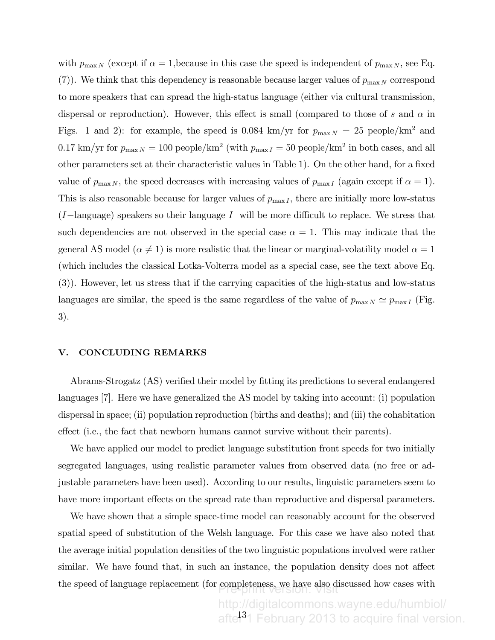with  $p_{\max N}$  (except if  $\alpha = 1$ , because in this case the speed is independent of  $p_{\max N}$ , see Eq. (7)). We think that this dependency is reasonable because larger values of  $p_{\max N}$  correspond to more speakers that can spread the high-status language (either via cultural transmission, dispersal or reproduction). However, this effect is small (compared to those of s and  $\alpha$  in Figs. 1 and 2): for example, the speed is 0.084 km/yr for  $p_{\text{max }N} = 25$  people/km<sup>2</sup> and 0.17 km/yr for  $p_{\text{max }N} = 100$  people/km<sup>2</sup> (with  $p_{\text{max }I} = 50$  people/km<sup>2</sup> in both cases, and all other parameters set at their characteristic values in Table 1). On the other hand, for a fixed value of  $p_{\max N}$ , the speed decreases with increasing values of  $p_{\max I}$  (again except if  $\alpha = 1$ ). This is also reasonable because for larger values of  $p_{\text{max }I}$ , there are initially more low-status  $(I-\text{language})$  speakers so their language I will be more difficult to replace. We stress that such dependencies are not observed in the special case  $\alpha = 1$ . This may indicate that the general AS model ( $\alpha \neq 1$ ) is more realistic that the linear or marginal-volatility model  $\alpha = 1$ (which includes the classical Lotka-Volterra model as a special case, see the text above Eq. (3)). However, let us stress that if the carrying capacities of the high-status and low-status languages are similar, the speed is the same regardless of the value of  $p_{\text{max }N} \simeq p_{\text{max }I}$  (Fig. 3).

#### V. CONCLUDING REMARKS

Abrams-Strogatz (AS) verified their model by fitting its predictions to several endangered languages [7]. Here we have generalized the AS model by taking into account: (i) population dispersal in space; (ii) population reproduction (births and deaths); and (iii) the cohabitation effect (i.e., the fact that newborn humans cannot survive without their parents).

We have applied our model to predict language substitution front speeds for two initially segregated languages, using realistic parameter values from observed data (no free or adjustable parameters have been used). According to our results, linguistic parameters seem to have more important effects on the spread rate than reproductive and dispersal parameters.

We have shown that a simple space-time model can reasonably account for the observed spatial speed of substitution of the Welsh language. For this case we have also noted that the average initial population densities of the two linguistic populations involved were rather similar. We have found that, in such an instance, the population density does not affect the speed of language replacement (for completeness, we have also discussed how cases with  $\frac{1}{2}$ 

afte<sup>13</sup>1 February 2013 to acquire final version. http://digitalcommons.wayne.edu/humbiol/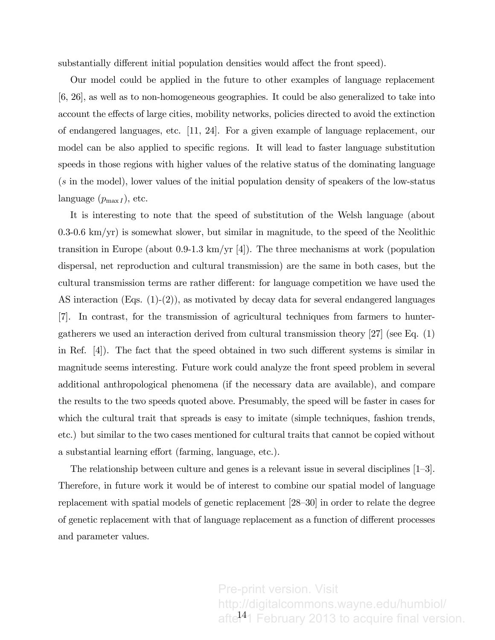substantially different initial population densities would affect the front speed).

Our model could be applied in the future to other examples of language replacement [6, 26], as well as to non-homogeneous geographies. It could be also generalized to take into account the effects of large cities, mobility networks, policies directed to avoid the extinction of endangered languages, etc. [11, 24]. For a given example of language replacement, our model can be also applied to specific regions. It will lead to faster language substitution speeds in those regions with higher values of the relative status of the dominating language (s in the model), lower values of the initial population density of speakers of the low-status language  $(p_{\max I})$ , etc.

It is interesting to note that the speed of substitution of the Welsh language (about 0.3-0.6 km/yr) is somewhat slower, but similar in magnitude, to the speed of the Neolithic transition in Europe (about 0.9-1.3 km/yr [4]). The three mechanisms at work (population dispersal, net reproduction and cultural transmission) are the same in both cases, but the cultural transmission terms are rather different: for language competition we have used the AS interaction (Eqs. (1)-(2)), as motivated by decay data for several endangered languages [7]. In contrast, for the transmission of agricultural techniques from farmers to huntergatherers we used an interaction derived from cultural transmission theory [27] (see Eq. (1) in Ref.  $[4]$ ). The fact that the speed obtained in two such different systems is similar in magnitude seems interesting. Future work could analyze the front speed problem in several additional anthropological phenomena (if the necessary data are available), and compare the results to the two speeds quoted above. Presumably, the speed will be faster in cases for which the cultural trait that spreads is easy to imitate (simple techniques, fashion trends, etc.) but similar to the two cases mentioned for cultural traits that cannot be copied without a substantial learning effort (farming, language, etc.).

The relationship between culture and genes is a relevant issue in several disciplines  $(1-3)$ . Therefore, in future work it would be of interest to combine our spatial model of language replacement with spatial models of genetic replacement  $[28–30]$  in order to relate the degree of genetic replacement with that of language replacement as a function of different processes and parameter values.

> afte<sup>14</sup>1 February 2013 to acquire final version. Pre-print version. Visit http://digitalcommons.wayne.edu/humbiol/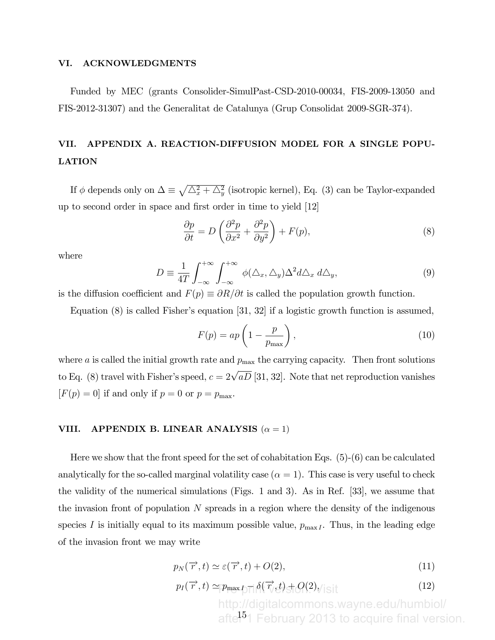#### VI. ACKNOWLEDGMENTS

Funded by MEC (grants Consolider-SimulPast-CSD-2010-00034, FIS-2009-13050 and FIS-2012-31307) and the Generalitat de Catalunya (Grup Consolidat 2009-SGR-374).

# VII. APPENDIX A. REACTION-DIFFUSION MODEL FOR A SINGLE POPU-LATION

If  $\phi$  depends only on  $\Delta \equiv \sqrt{\Delta_x^2 + \Delta_y^2}$  (isotropic kernel), Eq. (3) can be Taylor-expanded up to second order in space and Örst order in time to yield [12]

$$
\frac{\partial p}{\partial t} = D \left( \frac{\partial^2 p}{\partial x^2} + \frac{\partial^2 p}{\partial y^2} \right) + F(p),\tag{8}
$$

where

$$
D \equiv \frac{1}{4T} \int_{-\infty}^{+\infty} \int_{-\infty}^{+\infty} \phi(\triangle_x, \triangle_y) \Delta^2 d\triangle_x d\triangle_y, \tag{9}
$$

is the diffusion coefficient and  $F(p) \equiv \partial R/\partial t$  is called the population growth function.

Equation  $(8)$  is called Fisher's equation  $[31, 32]$  if a logistic growth function is assumed,

$$
F(p) = ap\left(1 - \frac{p}{p_{\text{max}}}\right),\tag{10}
$$

where a is called the initial growth rate and  $p_{\text{max}}$  the carrying capacity. Then front solutions to Eq. (8) travel with Fisher's speed,  $c = 2\sqrt{aD}$  [31, 32]. Note that net reproduction vanishes  $[F(p) = 0]$  if and only if  $p = 0$  or  $p = p_{\text{max}}$ .

#### VIII. APPENDIX B. LINEAR ANALYSIS  $(\alpha = 1)$

Here we show that the front speed for the set of cohabitation Eqs. (5)-(6) can be calculated analytically for the so-called marginal volatility case  $(\alpha = 1)$ . This case is very useful to check the validity of the numerical simulations (Figs. 1 and 3). As in Ref. [33], we assume that the invasion front of population  $N$  spreads in a region where the density of the indigenous species I is initially equal to its maximum possible value,  $p_{\text{max }I}$ . Thus, in the leading edge of the invasion front we may write

$$
p_N(\overrightarrow{r}, t) \simeq \varepsilon(\overrightarrow{r}, t) + O(2), \tag{11}
$$

$$
p_I(\vec{r},t) \simeq p_{\text{max}} I - \delta(\vec{r},t) + O(2),
$$
 (12)

afte<sup>15</sup>1 February 2013 to acquire final version. http://digitalcommons.wayne.edu/humbiol/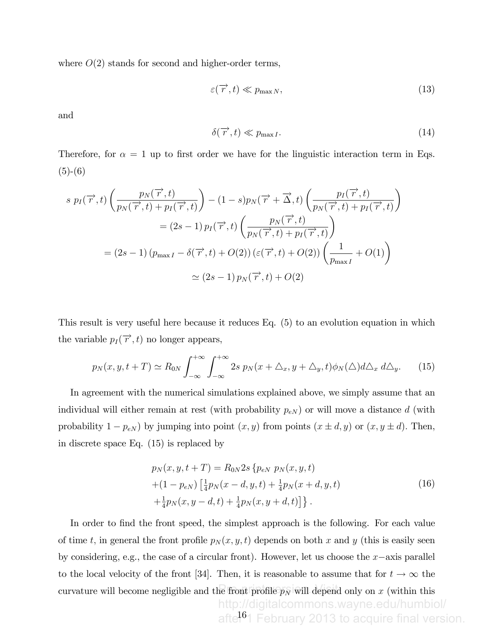where  $O(2)$  stands for second and higher-order terms,

$$
\varepsilon(\overrightarrow{r},t) \ll p_{\max N},\tag{13}
$$

and

$$
\delta(\overrightarrow{r},t) \ll p_{\max I}.\tag{14}
$$

Therefore, for  $\alpha = 1$  up to first order we have for the linguistic interaction term in Eqs.  $(5)-(6)$ 

$$
s p_I(\overrightarrow{r}, t) \left( \frac{p_N(\overrightarrow{r}, t)}{p_N(\overrightarrow{r}, t) + p_I(\overrightarrow{r}, t)} \right) - (1 - s) p_N(\overrightarrow{r} + \overrightarrow{\Delta}, t) \left( \frac{p_I(\overrightarrow{r}, t)}{p_N(\overrightarrow{r}, t) + p_I(\overrightarrow{r}, t)} \right)
$$
  

$$
= (2s - 1) p_I(\overrightarrow{r}, t) \left( \frac{p_N(\overrightarrow{r}, t)}{p_N(\overrightarrow{r}, t) + p_I(\overrightarrow{r}, t)} \right)
$$
  

$$
= (2s - 1) (p_{\max I} - \delta(\overrightarrow{r}, t) + O(2)) (\varepsilon(\overrightarrow{r}, t) + O(2)) \left( \frac{1}{p_{\max I}} + O(1) \right)
$$
  

$$
\simeq (2s - 1) p_N(\overrightarrow{r}, t) + O(2)
$$

This result is very useful here because it reduces Eq. (5) to an evolution equation in which the variable  $p_I(\vec{r}, t)$  no longer appears,

$$
p_N(x, y, t+T) \simeq R_{0N} \int_{-\infty}^{+\infty} \int_{-\infty}^{+\infty} 2s \, p_N(x + \Delta_x, y + \Delta_y, t) \phi_N(\Delta) d\Delta_x \, d\Delta_y. \tag{15}
$$

In agreement with the numerical simulations explained above, we simply assume that an individual will either remain at rest (with probability  $p_{eN}$ ) or will move a distance d (with probability  $1 - p_{eN}$ ) by jumping into point  $(x, y)$  from points  $(x \pm d, y)$  or  $(x, y \pm d)$ . Then, in discrete space Eq. (15) is replaced by

$$
p_N(x, y, t + T) = R_{0N} 2s \{ p_{eN} \ p_N(x, y, t) + (1 - p_{eN}) \left[ \frac{1}{4} p_N(x - d, y, t) + \frac{1}{4} p_N(x + d, y, t) + \frac{1}{4} p_N(x, y - d, t) + \frac{1}{4} p_N(x, y + d, t) \right] \}.
$$
 (16)

In order to find the front speed, the simplest approach is the following. For each value of time t, in general the front profile  $p_N(x, y, t)$  depends on both x and y (this is easily seen by considering, e.g., the case of a circular front). However, let us choose the  $x$ -axis parallel to the local velocity of the front [34]. Then, it is reasonable to assume that for  $t \to \infty$  the curvature will become negligible and the front profile  $p<sub>N</sub>$  will depend only on x (within this

> afte<sup>16</sup>1 February 2013 to acquire final version. http://digitalcommons.wayne.edu/humbiol/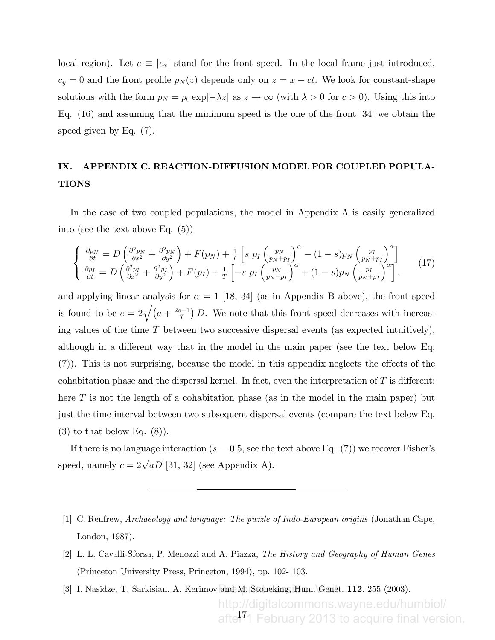local region). Let  $c \equiv |c_x|$  stand for the front speed. In the local frame just introduced,  $c_y = 0$  and the front profile  $p_N(z)$  depends only on  $z = x - ct$ . We look for constant-shape solutions with the form  $p_N = p_0 \exp[-\lambda z]$  as  $z \to \infty$  (with  $\lambda > 0$  for  $c > 0$ ). Using this into Eq. (16) and assuming that the minimum speed is the one of the front [34] we obtain the speed given by Eq. (7).

# IX. APPENDIX C. REACTION-DIFFUSION MODEL FOR COUPLED POPULA-**TIONS**

In the case of two coupled populations, the model in Appendix A is easily generalized into (see the text above Eq. (5))

$$
\begin{cases} \frac{\partial p_N}{\partial t} = D \left( \frac{\partial^2 p_N}{\partial x^2} + \frac{\partial^2 p_N}{\partial y^2} \right) + F(p_N) + \frac{1}{T} \left[ s \ p_I \left( \frac{p_N}{p_N + p_I} \right)^\alpha - (1 - s) p_N \left( \frac{p_I}{p_N + p_I} \right)^\alpha \right] \\ \frac{\partial p_I}{\partial t} = D \left( \frac{\partial^2 p_I}{\partial x^2} + \frac{\partial^2 p_I}{\partial y^2} \right) + F(p_I) + \frac{1}{T} \left[ -s \ p_I \left( \frac{p_N}{p_N + p_I} \right)^\alpha + (1 - s) p_N \left( \frac{p_I}{p_N + p_I} \right)^\alpha \right], \end{cases} (17)
$$

and applying linear analysis for  $\alpha = 1$  [18, 34] (as in Appendix B above), the front speed is found to be  $c = 2\sqrt{\left(a + \frac{2s-1}{T}\right)D}$ . We note that this front speed decreases with increasing values of the time  $T$  between two successive dispersal events (as expected intuitively), although in a different way that in the model in the main paper (see the text below Eq.  $(7)$ ). This is not surprising, because the model in this appendix neglects the effects of the cohabitation phase and the dispersal kernel. In fact, even the interpretation of  $T$  is different: here  $T$  is not the length of a cohabitation phase (as in the model in the main paper) but just the time interval between two subsequent dispersal events (compare the text below Eq.  $(3)$  to that below Eq.  $(8)$ ).

If there is no language interaction ( $s = 0.5$ , see the text above Eq. (7)) we recover Fisher's speed, namely  $c = 2\sqrt{aD}$  [31, 32] (see Appendix A).

- [1] C. Renfrew, Archaeology and language: The puzzle of Indo-European origins (Jonathan Cape, London, 1987).
- [2] L. L. Cavalli-Sforza, P. Menozzi and A. Piazza, The History and Geography of Human Genes (Princeton University Press, Princeton, 1994), pp. 102- 103.
- [3] I. Nasidze, T. Sarkisian, A. Kerimov and M. Stoneking, Hum. Genet.  $112$ ,  $255$  (2003). afte<sup>17</sup>1 February 2013 to acquire final version. http://digitalcommons.wayne.edu/humbiol/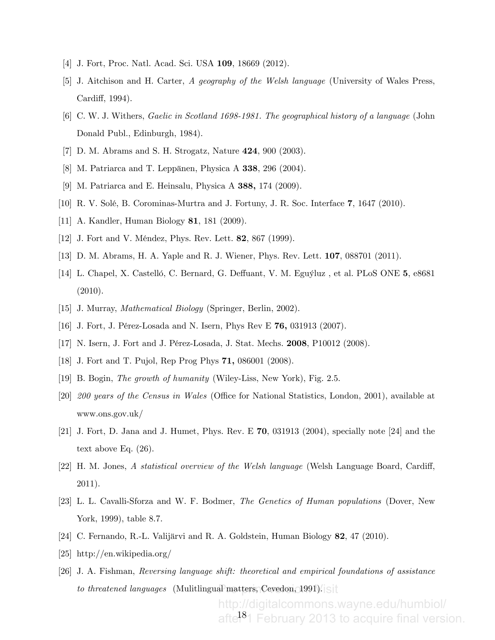- [4] J. Fort, Proc. Natl. Acad. Sci. USA **109**, 18669 (2012).
- [5] J. Aitchison and H. Carter, A geography of the Welsh language (University of Wales Press, Cardiff, 1994).
- [6] C. W. J. Withers, Gaelic in Scotland 1698-1981. The geographical history of a language (John Donald Publ., Edinburgh, 1984).
- [7] D. M. Abrams and S. H. Strogatz, Nature 424, 900 (2003).
- [8] M. Patriarca and T. Leppänen, Physica A 338, 296 (2004).
- [9] M. Patriarca and E. Heinsalu, Physica A 388, 174 (2009).
- [10] R. V. Solé, B. Corominas-Murtra and J. Fortuny, J. R. Soc. Interface 7, 1647 (2010).
- [11] A. Kandler, Human Biology **81**, 181 (2009).
- [12] J. Fort and V. Méndez, Phys. Rev. Lett. **82**, 867 (1999).
- [13] D. M. Abrams, H. A. Yaple and R. J. Wiener, Phys. Rev. Lett. 107, 088701 (2011).
- [14] L. Chapel, X. Castelló, C. Bernard, G. Deffuant, V. M. Eguýluz, et al. PLoS ONE 5, e8681 (2010).
- [15] J. Murray, Mathematical Biology (Springer, Berlin, 2002).
- [16] J. Fort, J. PÈrez-Losada and N. Isern, Phys Rev E 76, 031913 (2007).
- [17] N. Isern, J. Fort and J. Pérez-Losada, J. Stat. Mechs. **2008**, P10012 (2008).
- [18] J. Fort and T. Pujol, Rep Prog Phys 71, 086001 (2008).
- [19] B. Bogin, The growth of humanity (Wiley-Liss, New York), Fig. 2.5.
- [20]  $200 \text{ years of the Census in Wales}$  (Office for National Statistics, London, 2001), available at www.ons.gov.uk/
- [21] J. Fort, D. Jana and J. Humet, Phys. Rev. E 70, 031913 (2004), specially note [24] and the text above Eq. (26).
- [22] H. M. Jones, A statistical overview of the Welsh language (Welsh Language Board, Cardiff, 2011).
- [23] L. L. Cavalli-Sforza and W. F. Bodmer, The Genetics of Human populations (Dover, New York, 1999), table 8.7.
- [24] C. Fernando, R.-L. Valijärvi and R. A. Goldstein, Human Biology  $82$ ,  $47$  (2010).
- [25] http://en.wikipedia.org/
- [26] J. A. Fishman, Reversing language shift: theoretical and empirical foundations of assistance to threatened languages (Mulitlingual matters, Cevedon, 1991).

afte<sup>18</sup>1 February 2013 to acquire final version. http://digitalcommons.wayne.edu/humbiol/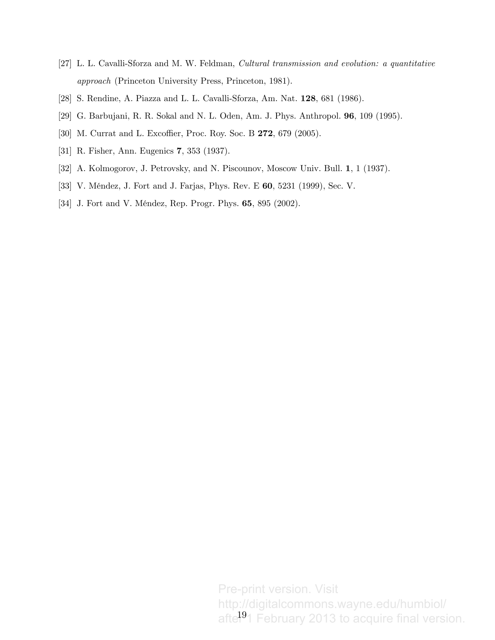- [27] L. L. Cavalli-Sforza and M. W. Feldman, Cultural transmission and evolution: a quantitative approach (Princeton University Press, Princeton, 1981).
- [28] S. Rendine, A. Piazza and L. L. Cavalli-Sforza, Am. Nat. 128, 681 (1986).
- [29] G. Barbujani, R. R. Sokal and N. L. Oden, Am. J. Phys. Anthropol. 96, 109 (1995).
- [30] M. Currat and L. Excoffier, Proc. Roy. Soc. B 272, 679 (2005).
- [31] R. Fisher, Ann. Eugenics 7, 353 (1937).
- [32] A. Kolmogorov, J. Petrovsky, and N. Piscounov, Moscow Univ. Bull. 1, 1 (1937).
- [33] V. Méndez, J. Fort and J. Farjas, Phys. Rev. E 60, 5231 (1999), Sec. V.
- [34] J. Fort and V. Méndez, Rep. Progr. Phys. **65**, 895 (2002).

afte<sup>19</sup>1 February 2013 to acquire final version. Pre-print version. Visit http://digitalcommons.wayne.edu/humbiol/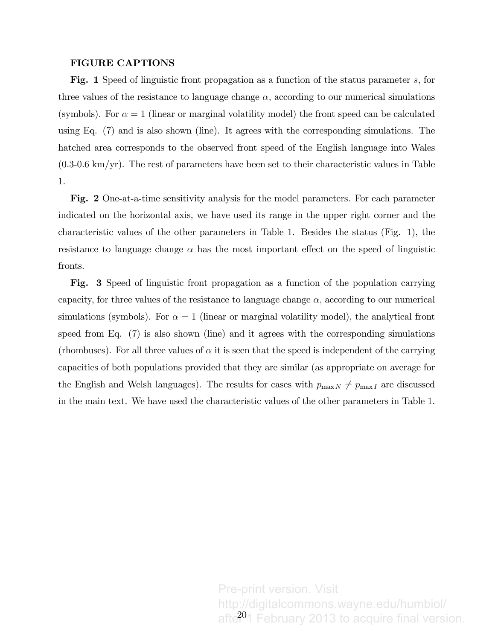#### FIGURE CAPTIONS

Fig. 1 Speed of linguistic front propagation as a function of the status parameter s, for three values of the resistance to language change  $\alpha$ , according to our numerical simulations (symbols). For  $\alpha = 1$  (linear or marginal volatility model) the front speed can be calculated using Eq. (7) and is also shown (line). It agrees with the corresponding simulations. The hatched area corresponds to the observed front speed of the English language into Wales (0.3-0.6 km/yr). The rest of parameters have been set to their characteristic values in Table 1.

Fig. 2 One-at-a-time sensitivity analysis for the model parameters. For each parameter indicated on the horizontal axis, we have used its range in the upper right corner and the characteristic values of the other parameters in Table 1. Besides the status (Fig. 1), the resistance to language change  $\alpha$  has the most important effect on the speed of linguistic fronts.

Fig. 3 Speed of linguistic front propagation as a function of the population carrying capacity, for three values of the resistance to language change  $\alpha$ , according to our numerical simulations (symbols). For  $\alpha = 1$  (linear or marginal volatility model), the analytical front speed from Eq. (7) is also shown (line) and it agrees with the corresponding simulations (rhombuses). For all three values of  $\alpha$  it is seen that the speed is independent of the carrying capacities of both populations provided that they are similar (as appropriate on average for the English and Welsh languages). The results for cases with  $p_{\max N} \neq p_{\max I}$  are discussed in the main text. We have used the characteristic values of the other parameters in Table 1.

> afte<sup>20</sup>1 February 2013 to acquire final version. Pre-print version. Visit http://digitalcommons.wayne.edu/humbiol/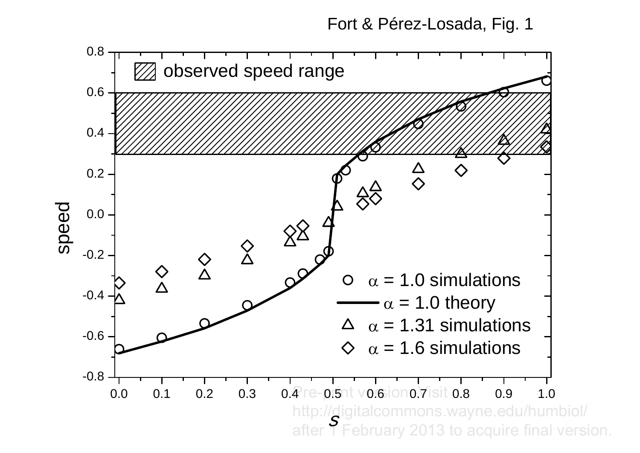Fort & Pérez-Losada, Fig. 1

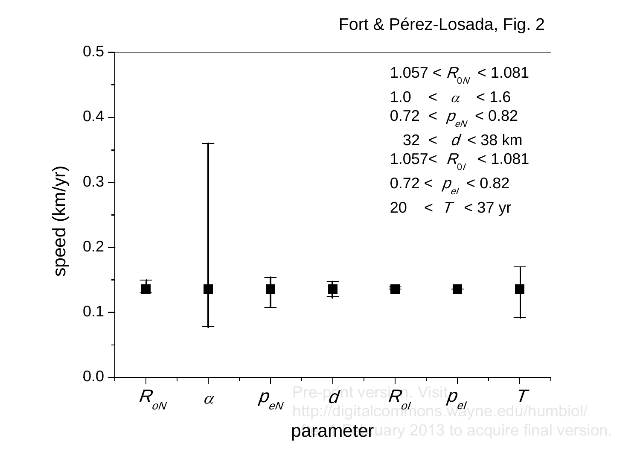Fort & Pérez-Losada, Fig. 2